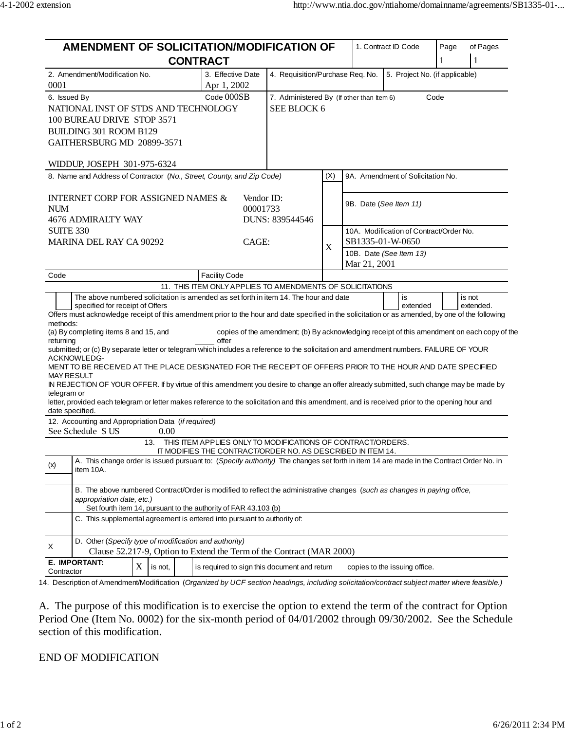| AMENDMENT OF SOLICITATION/MODIFICATION OF                                                                                                                                                                                                                                                                                                                                                                                                                                                                                                                                                                                                                                                                                                                                                                                                                                                                                               |                                                             | 1. Contract ID Code                                                                         |                                         |                                         | Page<br>of Pages              |   |           |  |
|-----------------------------------------------------------------------------------------------------------------------------------------------------------------------------------------------------------------------------------------------------------------------------------------------------------------------------------------------------------------------------------------------------------------------------------------------------------------------------------------------------------------------------------------------------------------------------------------------------------------------------------------------------------------------------------------------------------------------------------------------------------------------------------------------------------------------------------------------------------------------------------------------------------------------------------------|-------------------------------------------------------------|---------------------------------------------------------------------------------------------|-----------------------------------------|-----------------------------------------|-------------------------------|---|-----------|--|
| <b>CONTRACT</b>                                                                                                                                                                                                                                                                                                                                                                                                                                                                                                                                                                                                                                                                                                                                                                                                                                                                                                                         |                                                             |                                                                                             |                                         |                                         | 1                             | 1 |           |  |
| 2. Amendment/Modification No.<br>0001                                                                                                                                                                                                                                                                                                                                                                                                                                                                                                                                                                                                                                                                                                                                                                                                                                                                                                   | 3. Effective Date<br>Apr 1, 2002                            | 4. Requisition/Purchase Req. No.<br>5. Project No. (if applicable)                          |                                         |                                         |                               |   |           |  |
| 6. Issued By                                                                                                                                                                                                                                                                                                                                                                                                                                                                                                                                                                                                                                                                                                                                                                                                                                                                                                                            | Code 000SB                                                  | Code<br>7. Administered By (If other than Item 6)                                           |                                         |                                         |                               |   |           |  |
| NATIONAL INST OF STDS AND TECHNOLOGY                                                                                                                                                                                                                                                                                                                                                                                                                                                                                                                                                                                                                                                                                                                                                                                                                                                                                                    |                                                             | SEE BLOCK 6                                                                                 |                                         |                                         |                               |   |           |  |
| 100 BUREAU DRIVE STOP 3571                                                                                                                                                                                                                                                                                                                                                                                                                                                                                                                                                                                                                                                                                                                                                                                                                                                                                                              |                                                             |                                                                                             |                                         |                                         |                               |   |           |  |
| BUILDING 301 ROOM B129                                                                                                                                                                                                                                                                                                                                                                                                                                                                                                                                                                                                                                                                                                                                                                                                                                                                                                                  |                                                             |                                                                                             |                                         |                                         |                               |   |           |  |
| GAITHERSBURG MD 20899-3571                                                                                                                                                                                                                                                                                                                                                                                                                                                                                                                                                                                                                                                                                                                                                                                                                                                                                                              |                                                             |                                                                                             |                                         |                                         |                               |   |           |  |
| WIDDUP, JOSEPH 301-975-6324                                                                                                                                                                                                                                                                                                                                                                                                                                                                                                                                                                                                                                                                                                                                                                                                                                                                                                             |                                                             |                                                                                             |                                         |                                         |                               |   |           |  |
| 8. Name and Address of Contractor (No., Street, County, and Zip Code)                                                                                                                                                                                                                                                                                                                                                                                                                                                                                                                                                                                                                                                                                                                                                                                                                                                                   |                                                             | (X)                                                                                         | 9A. Amendment of Solicitation No.       |                                         |                               |   |           |  |
| <b>INTERNET CORP FOR ASSIGNED NAMES &amp;</b>                                                                                                                                                                                                                                                                                                                                                                                                                                                                                                                                                                                                                                                                                                                                                                                                                                                                                           | Vendor ID:                                                  |                                                                                             | 9B. Date (See Item 11)                  |                                         |                               |   |           |  |
| <b>NUM</b><br>4676 ADMIRALTY WAY                                                                                                                                                                                                                                                                                                                                                                                                                                                                                                                                                                                                                                                                                                                                                                                                                                                                                                        | 00001733<br>DUNS: 839544546                                 |                                                                                             |                                         |                                         |                               |   |           |  |
| <b>SUITE 330</b>                                                                                                                                                                                                                                                                                                                                                                                                                                                                                                                                                                                                                                                                                                                                                                                                                                                                                                                        |                                                             |                                                                                             |                                         | 10A. Modification of Contract/Order No. |                               |   |           |  |
| MARINA DEL RAY CA 90292                                                                                                                                                                                                                                                                                                                                                                                                                                                                                                                                                                                                                                                                                                                                                                                                                                                                                                                 | CAGE:                                                       |                                                                                             |                                         | SB1335-01-W-0650                        |                               |   |           |  |
|                                                                                                                                                                                                                                                                                                                                                                                                                                                                                                                                                                                                                                                                                                                                                                                                                                                                                                                                         |                                                             | X                                                                                           | 10B. Date (See Item 13)<br>Mar 21, 2001 |                                         |                               |   |           |  |
| Code                                                                                                                                                                                                                                                                                                                                                                                                                                                                                                                                                                                                                                                                                                                                                                                                                                                                                                                                    | <b>Facility Code</b>                                        |                                                                                             |                                         |                                         |                               |   |           |  |
| The above numbered solicitation is amended as set forth in item 14. The hour and date                                                                                                                                                                                                                                                                                                                                                                                                                                                                                                                                                                                                                                                                                                                                                                                                                                                   | 11. THIS ITEM ONLY APPLIES TO AMENDMENTS OF SOLICITATIONS   |                                                                                             |                                         |                                         |                               |   |           |  |
| specified for receipt of Offers<br>Offers must acknowledge receipt of this amendment prior to the hour and date specified in the solicitation or as amended, by one of the following<br>methods:<br>(a) By completing items 8 and 15, and<br>returning<br>submitted; or (c) By separate letter or telegram which includes a reference to the solicitation and amendment numbers. FAILURE OF YOUR<br>ACKNOWLEDG-<br>MENT TO BE RECEIVED AT THE PLACE DESIGNATED FOR THE RECEIPT OF OFFERS PRIOR TO THE HOUR AND DATE SPECIFIED<br><b>MAY RESULT</b><br>IN REJECTION OF YOUR OFFER. If by virtue of this amendment you desire to change an offer already submitted, such change may be made by<br>telegram or<br>letter, provided each telegram or letter makes reference to the solicitation and this amendment, and is received prior to the opening hour and<br>date specified.<br>12. Accounting and Appropriation Data (if required) | offer                                                       | copies of the amendment; (b) By acknowledging receipt of this amendment on each copy of the |                                         |                                         | extended                      |   | extended. |  |
| See Schedule \$ US<br>0.00                                                                                                                                                                                                                                                                                                                                                                                                                                                                                                                                                                                                                                                                                                                                                                                                                                                                                                              |                                                             |                                                                                             |                                         |                                         |                               |   |           |  |
| 13.                                                                                                                                                                                                                                                                                                                                                                                                                                                                                                                                                                                                                                                                                                                                                                                                                                                                                                                                     | THIS ITEM APPLIES ONLY TO MODIFICATIONS OF CONTRACT/ORDERS. |                                                                                             |                                         |                                         |                               |   |           |  |
|                                                                                                                                                                                                                                                                                                                                                                                                                                                                                                                                                                                                                                                                                                                                                                                                                                                                                                                                         | IT MODIFIES THE CONTRACT/ORDER NO. AS DESCRIBED IN ITEM 14. |                                                                                             |                                         |                                         |                               |   |           |  |
| A. This change order is issued pursuant to: (Specify authority) The changes set forth in item 14 are made in the Contract Order No. in<br>(x)<br>item 10A.                                                                                                                                                                                                                                                                                                                                                                                                                                                                                                                                                                                                                                                                                                                                                                              |                                                             |                                                                                             |                                         |                                         |                               |   |           |  |
| B. The above numbered Contract/Order is modified to reflect the administrative changes (such as changes in paying office,<br>appropriation date, etc.)<br>Set fourth item 14, pursuant to the authority of FAR 43.103 (b)                                                                                                                                                                                                                                                                                                                                                                                                                                                                                                                                                                                                                                                                                                               |                                                             |                                                                                             |                                         |                                         |                               |   |           |  |
| C. This supplemental agreement is entered into pursuant to authority of:                                                                                                                                                                                                                                                                                                                                                                                                                                                                                                                                                                                                                                                                                                                                                                                                                                                                |                                                             |                                                                                             |                                         |                                         |                               |   |           |  |
| D. Other (Specify type of modification and authority)<br>Χ<br>Clause 52.217-9, Option to Extend the Term of the Contract (MAR 2000)                                                                                                                                                                                                                                                                                                                                                                                                                                                                                                                                                                                                                                                                                                                                                                                                     |                                                             |                                                                                             |                                         |                                         |                               |   |           |  |
| E. IMPORTANT:<br>X<br>is not,<br>Contractor                                                                                                                                                                                                                                                                                                                                                                                                                                                                                                                                                                                                                                                                                                                                                                                                                                                                                             | is required to sign this document and return                |                                                                                             |                                         |                                         | copies to the issuing office. |   |           |  |

14. Description of Amendment/Modification (*Organized by UCF section headings, including solicitation/contract subject matter where feasible.)*

A. The purpose of this modification is to exercise the option to extend the term of the contract for Option Period One (Item No. 0002) for the six-month period of 04/01/2002 through 09/30/2002. See the Schedule section of this modification.

## END OF MODIFICATION